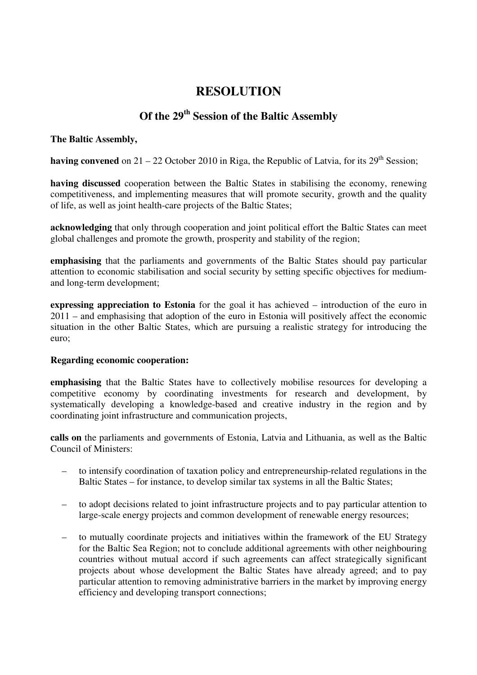## **RESOLUTION**

# **Of the 29th Session of the Baltic Assembly**

## **The Baltic Assembly,**

**having convened** on  $21 - 22$  October 2010 in Riga, the Republic of Latvia, for its  $29<sup>th</sup>$  Session:

**having discussed** cooperation between the Baltic States in stabilising the economy, renewing competitiveness, and implementing measures that will promote security, growth and the quality of life, as well as joint health-care projects of the Baltic States;

**acknowledging** that only through cooperation and joint political effort the Baltic States can meet global challenges and promote the growth, prosperity and stability of the region;

**emphasising** that the parliaments and governments of the Baltic States should pay particular attention to economic stabilisation and social security by setting specific objectives for mediumand long-term development;

**expressing appreciation to Estonia** for the goal it has achieved – introduction of the euro in 2011 – and emphasising that adoption of the euro in Estonia will positively affect the economic situation in the other Baltic States, which are pursuing a realistic strategy for introducing the euro;

#### **Regarding economic cooperation:**

**emphasising** that the Baltic States have to collectively mobilise resources for developing a competitive economy by coordinating investments for research and development, by systematically developing a knowledge-based and creative industry in the region and by coordinating joint infrastructure and communication projects,

**calls on** the parliaments and governments of Estonia, Latvia and Lithuania, as well as the Baltic Council of Ministers:

- to intensify coordination of taxation policy and entrepreneurship-related regulations in the Baltic States – for instance, to develop similar tax systems in all the Baltic States;
- to adopt decisions related to joint infrastructure projects and to pay particular attention to large-scale energy projects and common development of renewable energy resources;
- to mutually coordinate projects and initiatives within the framework of the EU Strategy for the Baltic Sea Region; not to conclude additional agreements with other neighbouring countries without mutual accord if such agreements can affect strategically significant projects about whose development the Baltic States have already agreed; and to pay particular attention to removing administrative barriers in the market by improving energy efficiency and developing transport connections;